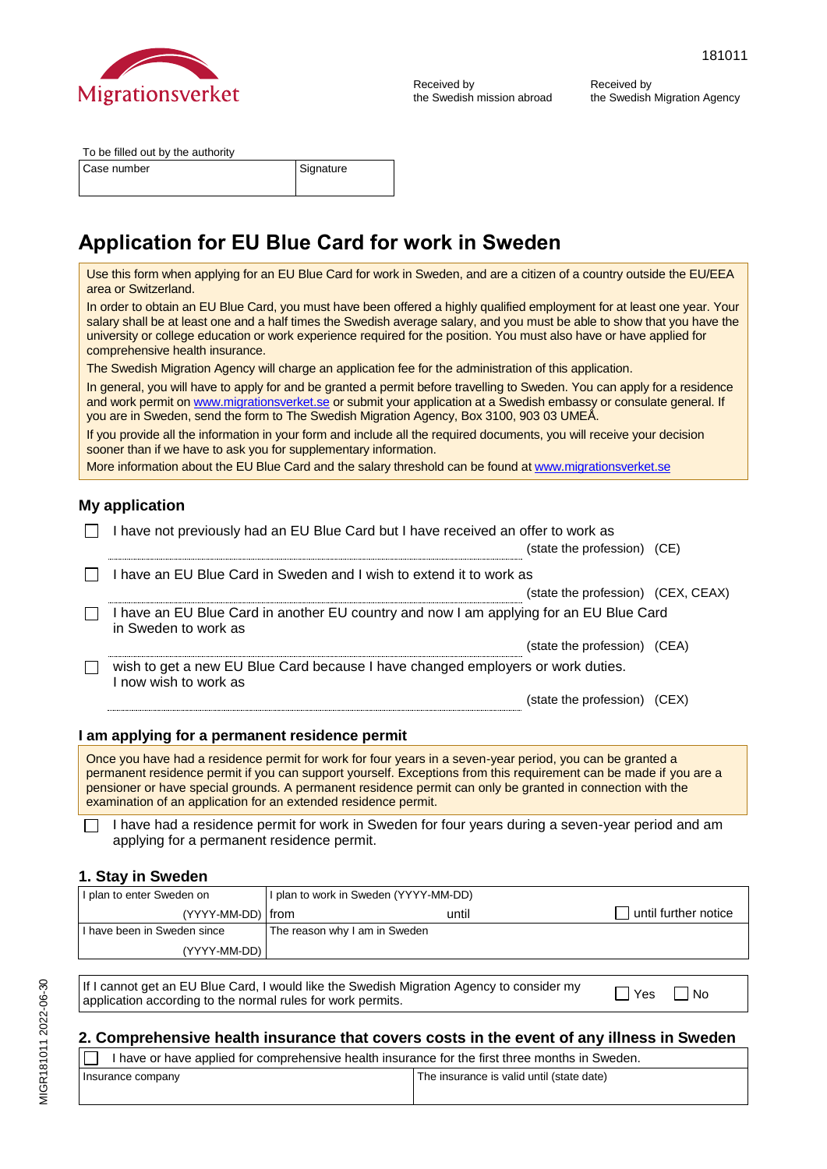

Received by the Swedish mission abroad Received by the Swedish Migration Agency

To be filled out by the authority

Case number Signature

# **Application for EU Blue Card for work in Sweden**

Use this form when applying for an EU Blue Card for work in Sweden, and are a citizen of a country outside the EU/EEA area or Switzerland. In order to obtain an EU Blue Card, you must have been offered a highly qualified employment for at least one year. Your salary shall be at least one and a half times the Swedish average salary, and you must be able to show that you have the university or college education or work experience required for the position. You must also have or have applied for comprehensive health insurance. The Swedish Migration Agency will charge an application fee for the administration of this application. In general, you will have to apply for and be granted a permit before travelling to Sweden. You can apply for a residence and work permit o[n www.migrationsverket.se](http://www.migrationsverket.se/) or submit your application at a Swedish embassy or consulate general. If you are in Sweden, send the form to The Swedish Migration Agency, Box 3100, 903 03 UMEÅ. If you provide all the information in your form and include all the required documents, you will receive your decision sooner than if we have to ask you for supplementary information. More information about the EU Blue Card and the salary threshold can be found at [www.migrationsverket.se](http://www.migrationsverket.se/)

### **My application**

| I have not previously had an EU Blue Card but I have received an offer to work as                                                                                                                                                  |  |
|------------------------------------------------------------------------------------------------------------------------------------------------------------------------------------------------------------------------------------|--|
| (state the profession) (CE)                                                                                                                                                                                                        |  |
| I have an EU Blue Card in Sweden and I wish to extend it to work as                                                                                                                                                                |  |
| (state the profession) (CEX, CEAX)                                                                                                                                                                                                 |  |
| I have an EU Blue Card in another EU country and now I am applying for an EU Blue Card<br>in Sweden to work as                                                                                                                     |  |
| (state the profession) (CEA)                                                                                                                                                                                                       |  |
| wish to get a new EU Blue Card because I have changed employers or work duties.<br>I now wish to work as                                                                                                                           |  |
| (state the profession) (CEX)                                                                                                                                                                                                       |  |
|                                                                                                                                                                                                                                    |  |
| I am applying for a permanent residence permit                                                                                                                                                                                     |  |
| $\bullet$ in the state of the state of the state of the state of the state of the state of the state of the state of the state of the state of the state of the state of the state of the state of the state of the state of the s |  |

Once you have had a residence permit for work for four years in a seven-year period, you can be granted a permanent residence permit if you can support yourself. Exceptions from this requirement can be made if you are a pensioner or have special grounds. A permanent residence permit can only be granted in connection with the examination of an application for an extended residence permit.

I have had a residence permit for work in Sweden for four years during a seven-year period and am applying for a permanent residence permit.

#### **1. Stay in Sweden**

| I plan to enter Sweden on | I plan to work in Sweden (YYYY-MM-DD) |                      |  |
|---------------------------|---------------------------------------|----------------------|--|
| (YYYY-MM-DD)   from       | until                                 | until further notice |  |
| have been in Sweden since | The reason why I am in Sweden         |                      |  |
|                           | (YYYY-MM-DD)                          |                      |  |

If I cannot get an EU Blue Card, I would like the Swedish Migration Agency to consider my If I cannot get an EU Blue Card, I would like the Swedish Migration Agency to consider my  $\Box$  Yes  $\Box$  No application according to the normal rules for work permits.

### **2. Comprehensive health insurance that covers costs in the event of any illness in Sweden**

| I have or have applied for comprehensive health insurance for the first three months in Sweden. |  |  |
|-------------------------------------------------------------------------------------------------|--|--|
| The insurance is valid until (state date)<br>Insurance company                                  |  |  |
|                                                                                                 |  |  |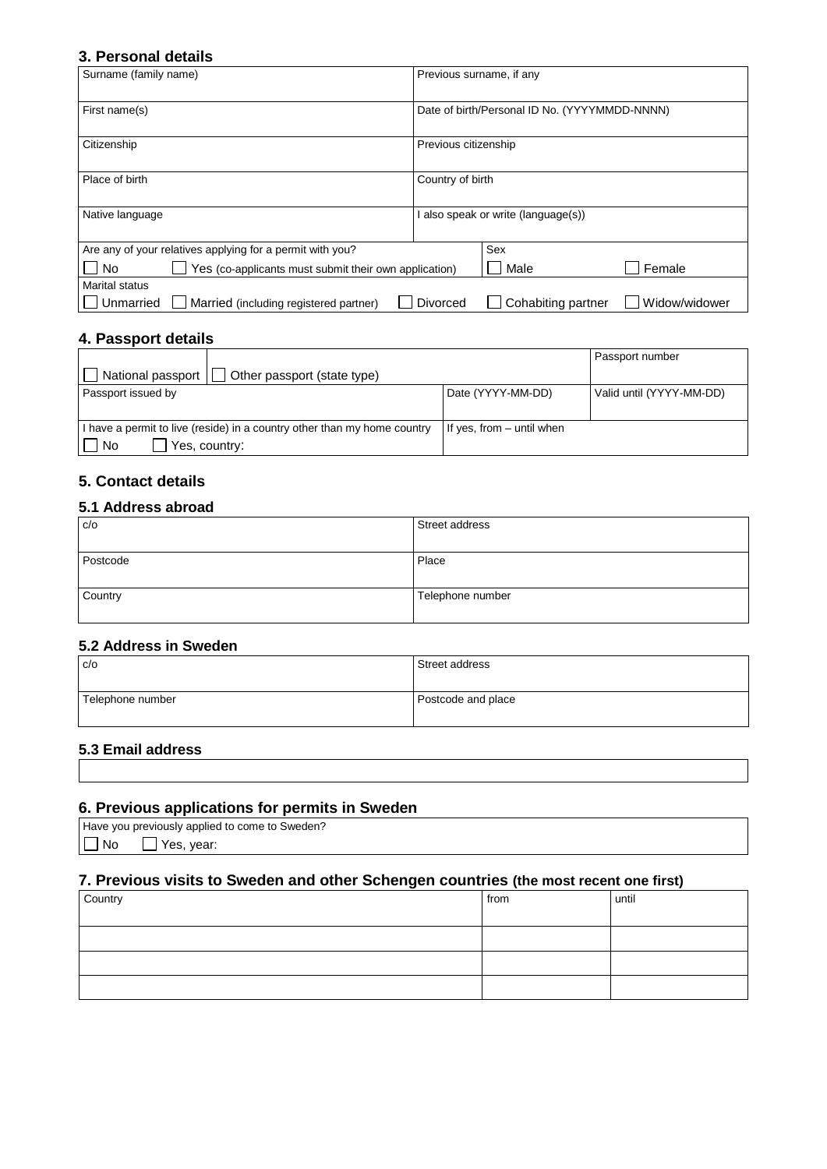#### **3. Personal details**

| Surname (family name)                                       | Previous surname, if any                        |  |
|-------------------------------------------------------------|-------------------------------------------------|--|
| First name(s)                                               | Date of birth/Personal ID No. (YYYYMMDD-NNNN)   |  |
| Citizenship                                                 | Previous citizenship                            |  |
| Place of birth                                              | Country of birth                                |  |
| Native language                                             | also speak or write (language(s))               |  |
| Are any of your relatives applying for a permit with you?   | Sex                                             |  |
| Yes (co-applicants must submit their own application)<br>No | Female<br>Male                                  |  |
| <b>Marital status</b>                                       |                                                 |  |
| Married (including registered partner)<br>Unmarried         | Cohabiting partner<br>Widow/widower<br>Divorced |  |

#### **4. Passport details**

|                                                                          |                           | Passport number          |
|--------------------------------------------------------------------------|---------------------------|--------------------------|
| National passport<br>Other passport (state type)                         |                           |                          |
| Passport issued by                                                       | Date (YYYY-MM-DD)         | Valid until (YYYY-MM-DD) |
|                                                                          |                           |                          |
| I have a permit to live (reside) in a country other than my home country | If yes, from – until when |                          |
| l No<br>Yes, country:                                                    |                           |                          |

### **5. Contact details**

#### **5.1 Address abroad**

| C/O      | Street address   |
|----------|------------------|
| Postcode | Place            |
| Country  | Telephone number |

#### **5.2 Address in Sweden**

| C/O              | Street address     |
|------------------|--------------------|
| Telephone number | Postcode and place |

#### **5.3 Email address**

#### **6. Previous applications for permits in Sweden**

|           | Have you previously applied to come to Sweden? |
|-----------|------------------------------------------------|
| $\Box$ No | $\Box$ Yes, year:                              |

# **7. Previous visits to Sweden and other Schengen countries (the most recent one first)**

| Country | from | until |
|---------|------|-------|
|         |      |       |
|         |      |       |
|         |      |       |
|         |      |       |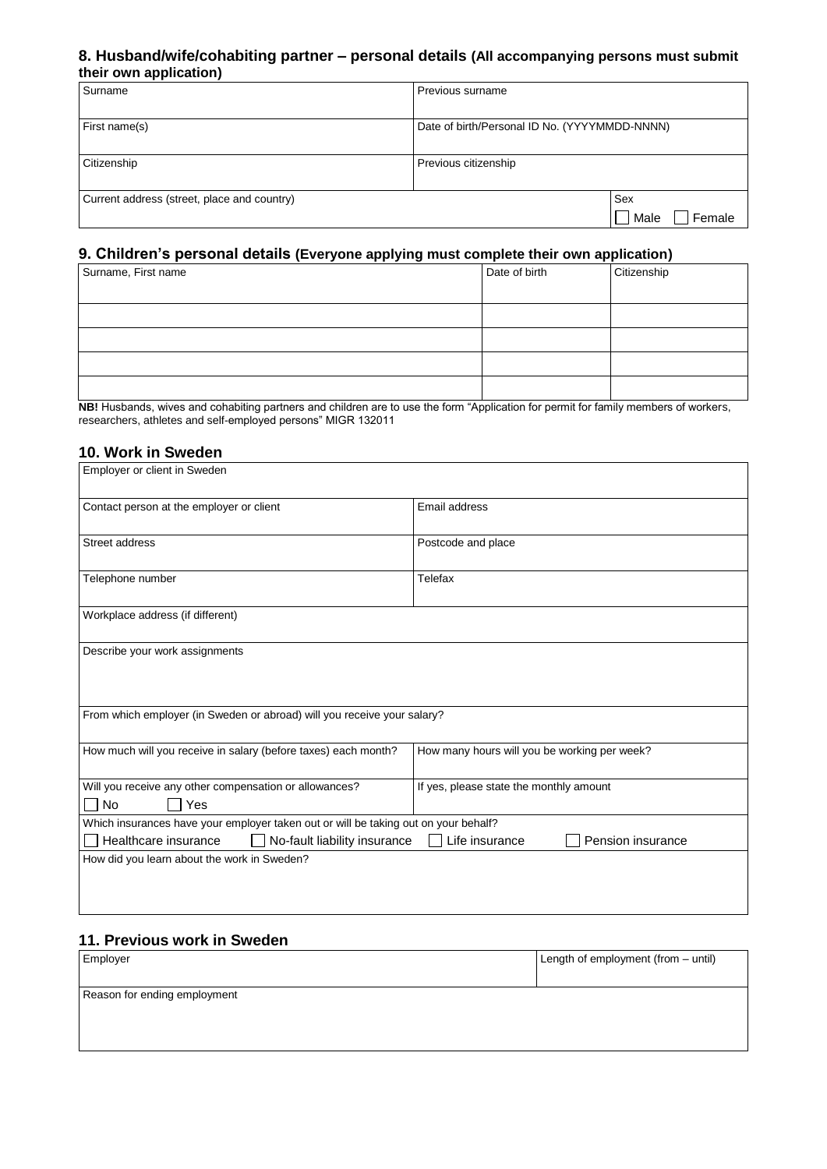#### **8. Husband/wife/cohabiting partner – personal details (All accompanying persons must submit their own application)**

| Surname                                     | Previous surname                              |                       |
|---------------------------------------------|-----------------------------------------------|-----------------------|
| First name(s)                               | Date of birth/Personal ID No. (YYYYMMDD-NNNN) |                       |
| Citizenship                                 | Previous citizenship                          |                       |
| Current address (street, place and country) |                                               | Sex<br>Male<br>Female |

#### **9. Children's personal details (Everyone applying must complete their own application)**

| Surname, First name | Date of birth | Citizenship |
|---------------------|---------------|-------------|
|                     |               |             |
|                     |               |             |
|                     |               |             |
|                     |               |             |
|                     |               |             |

**NB!** Husbands, wives and cohabiting partners and children are to use the form "Application for permit for family members of workers, researchers, athletes and self-employed persons" MIGR 132011

#### **10. Work in Sweden**

| Employer or client in Sweden                                                                |                                              |  |  |  |
|---------------------------------------------------------------------------------------------|----------------------------------------------|--|--|--|
| Contact person at the employer or client                                                    | Email address                                |  |  |  |
| Street address                                                                              | Postcode and place                           |  |  |  |
| Telephone number                                                                            | Telefax                                      |  |  |  |
| Workplace address (if different)                                                            |                                              |  |  |  |
| Describe your work assignments                                                              |                                              |  |  |  |
| From which employer (in Sweden or abroad) will you receive your salary?                     |                                              |  |  |  |
| How much will you receive in salary (before taxes) each month?                              | How many hours will you be working per week? |  |  |  |
| Will you receive any other compensation or allowances?<br><b>No</b><br>Yes                  | If yes, please state the monthly amount      |  |  |  |
| Which insurances have your employer taken out or will be taking out on your behalf?         |                                              |  |  |  |
| No-fault liability insurance<br>Healthcare insurance<br>Life insurance<br>Pension insurance |                                              |  |  |  |
| How did you learn about the work in Sweden?                                                 |                                              |  |  |  |
|                                                                                             |                                              |  |  |  |
|                                                                                             |                                              |  |  |  |
|                                                                                             |                                              |  |  |  |

## **11. Previous work in Sweden**

| Employer                     | Length of employment (from - until) |
|------------------------------|-------------------------------------|
| Reason for ending employment |                                     |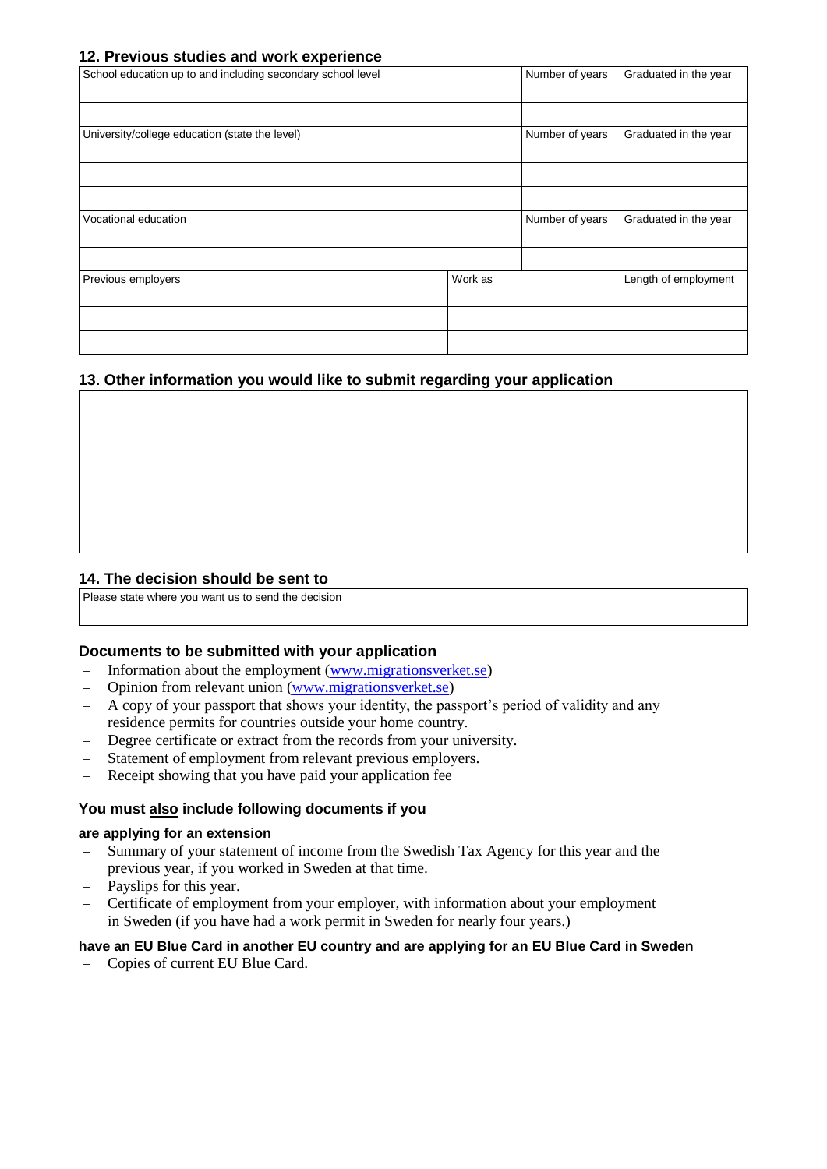#### **12. Previous studies and work experience**

| School education up to and including secondary school level |         | Number of years | Graduated in the year |
|-------------------------------------------------------------|---------|-----------------|-----------------------|
|                                                             |         |                 |                       |
| University/college education (state the level)              |         | Number of years | Graduated in the year |
|                                                             |         |                 |                       |
|                                                             |         |                 |                       |
| Vocational education                                        |         | Number of years | Graduated in the year |
|                                                             |         |                 |                       |
| Previous employers                                          | Work as |                 | Length of employment  |
|                                                             |         |                 |                       |
|                                                             |         |                 |                       |

#### **13. Other information you would like to submit regarding your application**

#### **14. The decision should be sent to**

Please state where you want us to send the decision

#### **Documents to be submitted with your application**

- − Information about the employment [\(www.migrationsverket.se\)](http://www.migrationsverket.se/)
- − Opinion from relevant union [\(www.migrationsverket.se\)](http://www.migrationsverket.se/)
- − A copy of your passport that shows your identity, the passport's period of validity and any residence permits for countries outside your home country.
- − Degree certificate or extract from the records from your university.
- Statement of employment from relevant previous employers.
- Receipt showing that you have paid your application fee

#### **You must also include following documents if you**

#### **are applying for an extension**

- − Summary of your statement of income from the Swedish Tax Agency for this year and the previous year, if you worked in Sweden at that time.
- − Payslips for this year.
- − Certificate of employment from your employer, with information about your employment in Sweden (if you have had a work permit in Sweden for nearly four years.)

#### **have an EU Blue Card in another EU country and are applying for an EU Blue Card in Sweden**

− Copies of current EU Blue Card.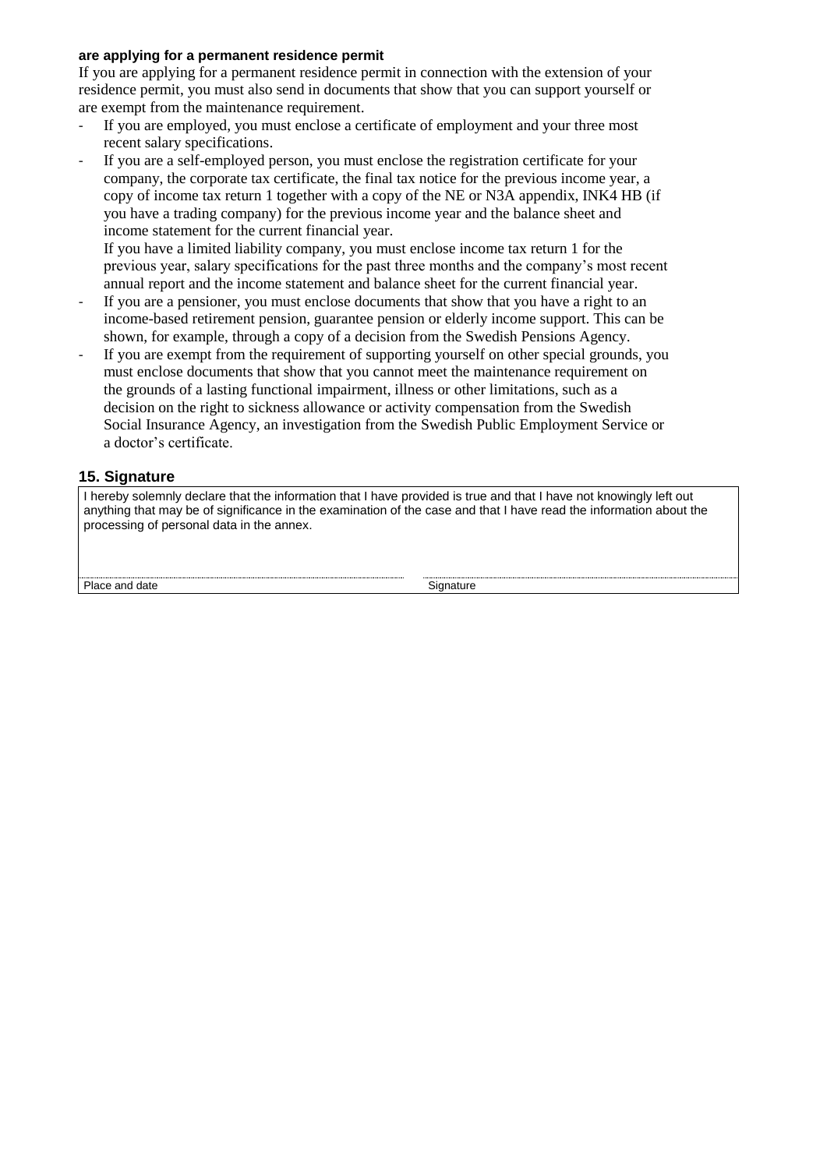#### **are applying for a permanent residence permit**

If you are applying for a permanent residence permit in connection with the extension of your residence permit, you must also send in documents that show that you can support yourself or are exempt from the maintenance requirement.

- If you are employed, you must enclose a certificate of employment and your three most recent salary specifications.
- If you are a self-employed person, you must enclose the registration certificate for your company, the corporate tax certificate, the final tax notice for the previous income year, a copy of income tax return 1 together with a copy of the NE or N3A appendix, INK4 HB (if you have a trading company) for the previous income year and the balance sheet and income statement for the current financial year.

If you have a limited liability company, you must enclose income tax return 1 for the previous year, salary specifications for the past three months and the company's most recent annual report and the income statement and balance sheet for the current financial year.

- If you are a pensioner, you must enclose documents that show that you have a right to an income-based retirement pension, guarantee pension or elderly income support. This can be shown, for example, through a copy of a decision from the Swedish Pensions Agency.
- If you are exempt from the requirement of supporting yourself on other special grounds, you must enclose documents that show that you cannot meet the maintenance requirement on the grounds of a lasting functional impairment, illness or other limitations, such as a decision on the right to sickness allowance or activity compensation from the Swedish Social Insurance Agency, an investigation from the Swedish Public Employment Service or a doctor's certificate.

#### **15. Signature**

I hereby solemnly declare that the information that I have provided is true and that I have not knowingly left out anything that may be of significance in the examination of the case and that I have read the information about the processing of personal data in the annex.

Place and date Signature Signature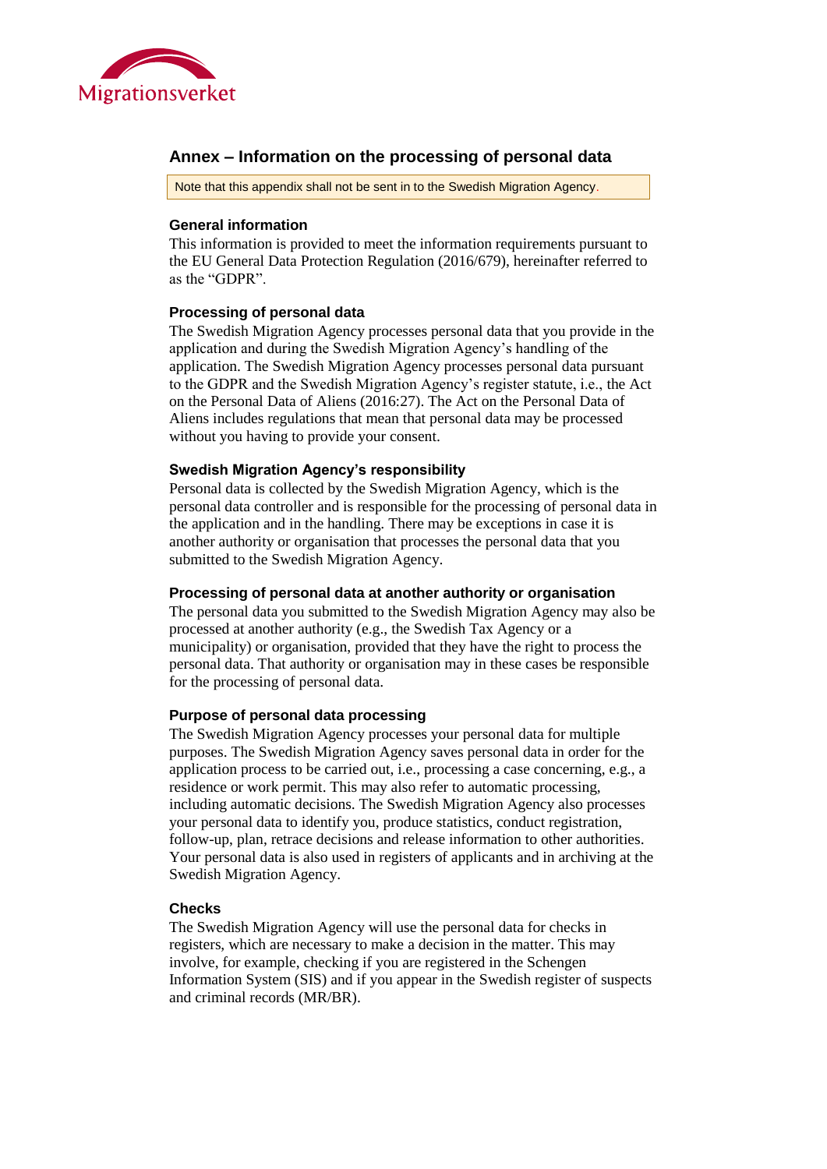

### **Annex – Information on the processing of personal data**

Note that this appendix shall not be sent in to the Swedish Migration Agency.

#### **General information**

This information is provided to meet the information requirements pursuant to the EU General Data Protection Regulation (2016/679), hereinafter referred to as the "GDPR".

#### **Processing of personal data**

The Swedish Migration Agency processes personal data that you provide in the application and during the Swedish Migration Agency's handling of the application. The Swedish Migration Agency processes personal data pursuant to the GDPR and the Swedish Migration Agency's register statute, i.e., the Act on the Personal Data of Aliens (2016:27). The Act on the Personal Data of Aliens includes regulations that mean that personal data may be processed without you having to provide your consent.

#### **Swedish Migration Agency's responsibility**

Personal data is collected by the Swedish Migration Agency, which is the personal data controller and is responsible for the processing of personal data in the application and in the handling. There may be exceptions in case it is another authority or organisation that processes the personal data that you submitted to the Swedish Migration Agency.

#### **Processing of personal data at another authority or organisation**

The personal data you submitted to the Swedish Migration Agency may also be processed at another authority (e.g., the Swedish Tax Agency or a municipality) or organisation, provided that they have the right to process the personal data. That authority or organisation may in these cases be responsible for the processing of personal data.

#### **Purpose of personal data processing**

The Swedish Migration Agency processes your personal data for multiple purposes. The Swedish Migration Agency saves personal data in order for the application process to be carried out, i.e., processing a case concerning, e.g., a residence or work permit. This may also refer to automatic processing, including automatic decisions. The Swedish Migration Agency also processes your personal data to identify you, produce statistics, conduct registration, follow-up, plan, retrace decisions and release information to other authorities. Your personal data is also used in registers of applicants and in archiving at the Swedish Migration Agency.

#### **Checks**

The Swedish Migration Agency will use the personal data for checks in registers, which are necessary to make a decision in the matter. This may involve, for example, checking if you are registered in the Schengen Information System (SIS) and if you appear in the Swedish register of suspects and criminal records (MR/BR).